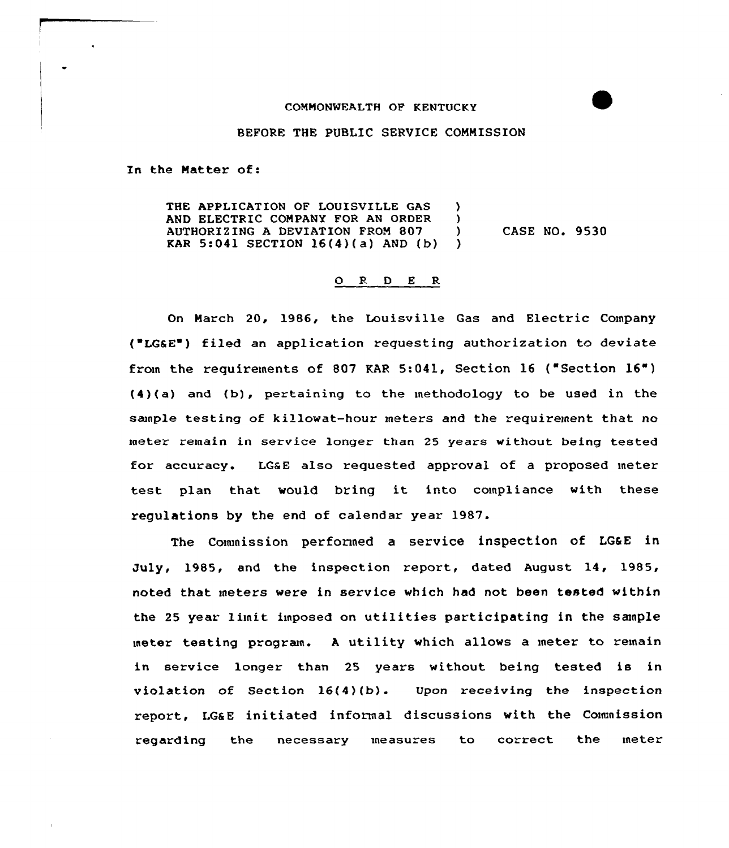## COMMONWEALTH OF KENTUCKY

## BEFORE THE PUBLIC SERVICE COMMISSION

In the Matter of:

THE APPLICATION OF LOUISVILLE GAS )<br>AND ELECTRIC COMPANY FOR AN ORDER ) AND ELECTRIC COMPANY FOR AN ORDER )<br>AUTHORIZING A DEVIATION FROM 807 ) AUTHORIZING A DEVIATION FROM 807 (a)<br>KAR 5:041 SECTION 16(4)(a) AND (b) KAR 5:041 SECTION  $16(4)(a)$  AND  $(b)$ CASE NO. 9530

## O R D E R

On March 20, 1986, the Louisville Gas and Electric Company ("LG&E") filed an application requesting authorization to deviate from the requirements of <sup>807</sup> KAR 5:041, Section <sup>16</sup> ("Section 16") (4)(a) and (b), pertaining to the methodology to be used in the sample testing of killowat-hour meters and the requirement that no meter remain in service longer than 25 years without being tested for accuracy. LGaE also requested approval of a proposed meter test plan that would bring it into compliance with these regulations by the end of calendar year 1987.

The Commission performed a service inspection of LG&E in July, 1985, and the inspection report, dated August 14, 1985, noted that meters were in service which had not been tested within the <sup>25</sup> year limit imposed on utilities participating in the sanple meter testing progran. <sup>A</sup> utility which allows a meter to remain in service longer than 25 years without being tested is in violation of Section 16(4)(b). Upon receiving the inspection report, LG&E initiated informal discussions with the Commission regarding the necessary measures to correct the meter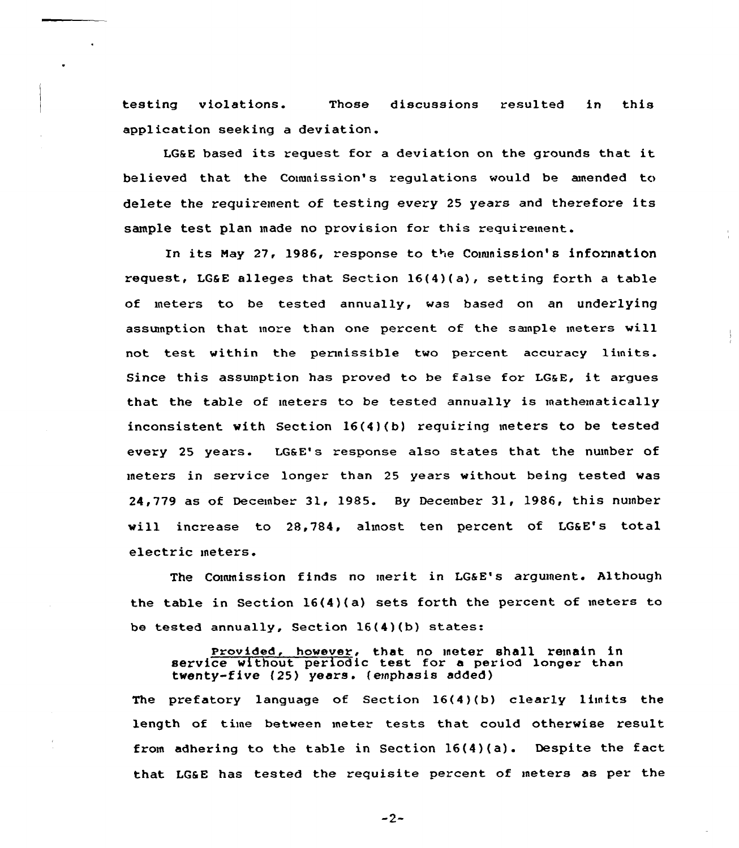testing violations. Those discussions resulted in this application seeking a deviation.

LG6 <sup>E</sup> based its request for <sup>a</sup> deviation on the grounds that it believed that the Commission's regulations would be amended to delete the requirement of testing every <sup>25</sup> years and therefore its sample test plan made no provision for this requirement.

In its May 27, 1986, response to the Commission's information request, LGGE alleges that Section  $16(4)(a)$ , setting forth a table of meters to be tested annually, was based on an underlying assunption that more than one percent of the sample meters will not test within the permissible two percent accuracy limits. Since this assumption has proved to be false for LG&E, it argues that the table of meters to be tested annually is mathematically inconsistent with Section 16(4)(b) requiring meters to be tested every 25 years. LG&E's response also states that the number of meters in service longer than 25 years without being tested was 24,779 as of December 31, 1985. Hy December 31, 1986, this number will increase to 28.784, almost ten percent of LG&E's total electric meters.

The Commission finds no merit in LG&E's argument. Although the table in Section 16(4)(a) sets forth the percent of meters to be tested annually, Section 16(4)(b) states:

**Provided, however, that no meter shall remain in**<br>service without periodic test for a period longer than twenty-five {25) years. {emphasis added)

The prefatory language of Section 16(4)(b) clearly limits the length of time between meter tests that could otherwise result from adhering to the table in Section 16(4)(a). Despite the fact that LG6E has tested the requisite percent of meters as per the

 $-2-$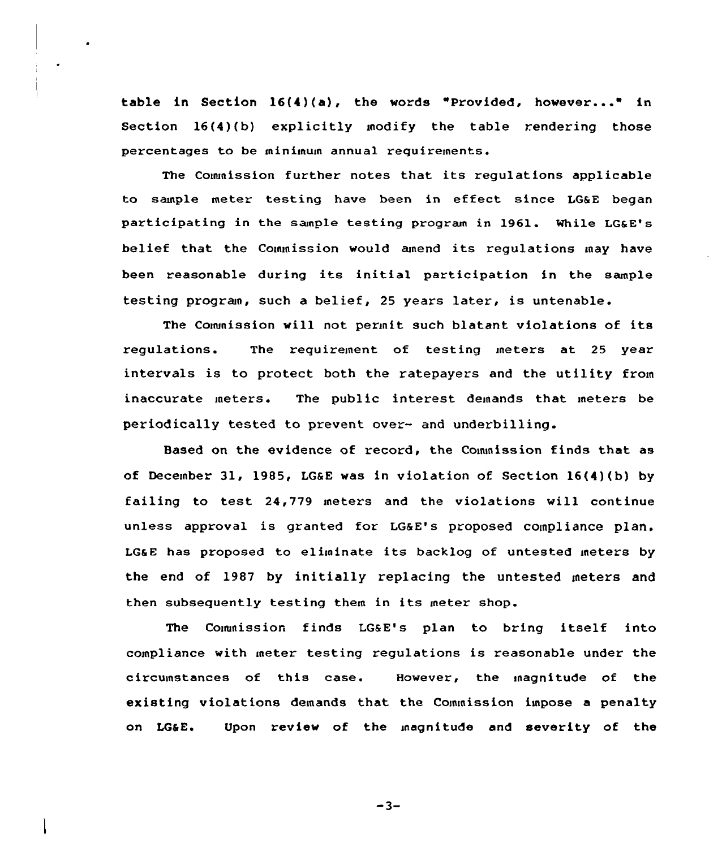table in Section 16(4)(a), the words "Provided, howevez..." in Section 16(4)(b) explicitly modify the table rendering those percentages to be minimum annual requirements.

The Commission further notes that its regulations applicable to sample metez testing have been in effect since LG&E began participating in the sample testing program in l961. While LG&E's belief that the Commission would amend its regulations may have been reasonable during its initial participation in the sample testing program, such a belief, 25 years later, is untenable.

The Commission will not permit such blatant violations of its zegulations. The requizement of testing meters at 25 yeaz intervals is to protect both the ratepayers and the utility from inaccurate metezs. The public interest demands that meters be periodically tested to prevent over- and underbilling.

Based on the evidence of record, the Commission finds that as of December 31, 1985, LG&E was in violation of Section 16(4)(b) by failing to test 24,779 meters and the violations will continue unless approval is granted for LG&E's proposed compliance plan. LG&E has proposed to eliminate its backlog of untested meters by the end of 1987 by initially replacing the untested meters and then subsequently testing them in its meter shop.

The Commission finds LG&E's plan to bring itself into compliance with meter testing regulations is reasonable under the circumstances of this case. However, the magnitude of the existing violations demands that the Commission impose a penalty on LG&E. Upon review of the magnitude and severity of the

 $-3-$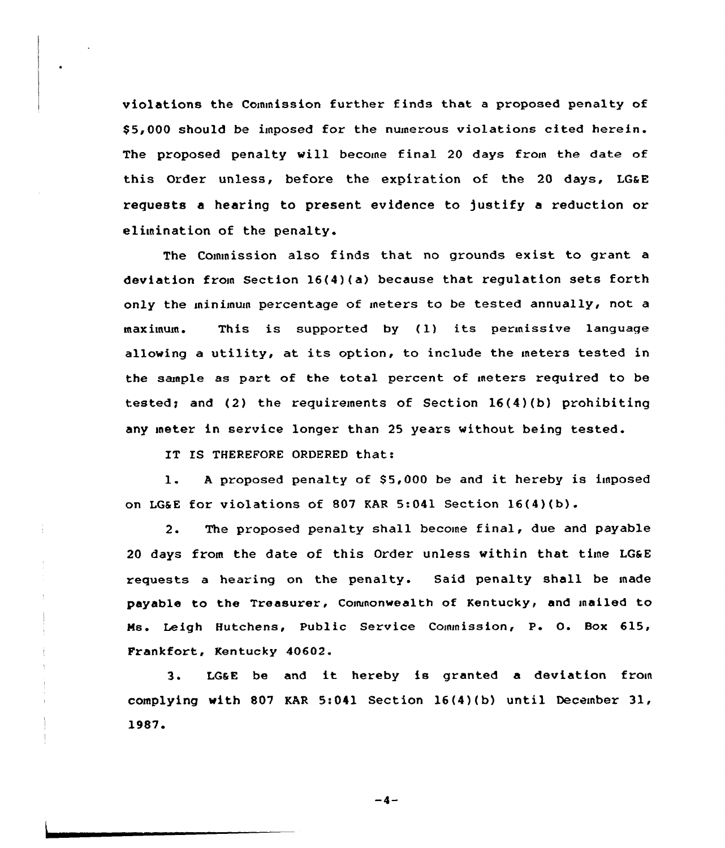violations the Commission further finds that a proposed penalty of \$ 5,000 should be imposed for the numerous violations cited herein. The proposed penalty will become final 20 days from the date of this Order unless, before the expiration of the 20 days, LGaE requests a hearing to present evidence to justify a reduction or elimination of the penalty.

The Commission also finds that no grounds exist to grant a deviation from Section 16(4)(a) because that regulation sets forth only the minimum percentage of meters to be tested annually, not a maximum. This is supported by (1) its permissive language allowing <sup>a</sup> utility, at its option, to include the meters tested in the sample as part of the total percent of meters required to be tested; and (2) the requirements of Section  $16(4)(b)$  prohibiting any meter in service longer than 25 years without being tested.

IT IS THEREFORE ORDERED that:

1. A proposed penalty of \$5,000 be and it hereby is imposed on LGSE for violations of 807 KAR 5:041 Section 16(4)(b).

2. The proposed penalty shall become final, due and payable 20 days from the date of this Order unless within that time LG&E requests a hearing on the penalty. Said penalty shall be made payable to the Treasurer, Commonwealth of Kentucky, and mailed to Ms. Leigh Hutchens, Public Service Commission, P. O. Box 615, Frankfort, Kentucky 40602.

3. LGsE be and it hereby is granted <sup>a</sup> deviation from complying with 807 KAR 5:041 Section 16(4)(b) until December 31, 1987

 $-4-$